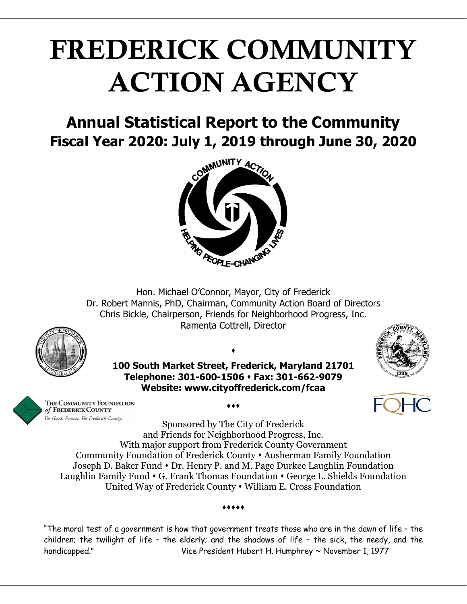# FREDERICK COMMUNITY ACTION AGENCY

## **Annual Statistical Report to the Community Fiscal Year 2020: July 1, 2019 through June 30, 2020**



Hon. Michael O'Connor, Mayor, City of Frederick Dr. Robert Mannis, PhD, Chairman, Community Action Board of Directors Chris Bickle, Chairperson, Friends for Neighborhood Progress, Inc. Ramenta Cottrell, Director



**100 South Market Street, Frederick, Maryland 21701 Telephone: 301-600-1506 Fax: 301-662-9079 Website: www.cityoffrederick.com/fcaa**

 $\bullet$ 





THE COMMUNITY FOUNDATION of FREDERICK COUNTY For Good. Forever. For Frederick County.

 $\dots$ 

Sponsored by The City of Frederick and Friends for Neighborhood Progress, Inc. With major support from Frederick County Government Community Foundation of Frederick County Ausherman Family Foundation Joseph D. Baker Fund  $\cdot$  Dr. Henry P. and M. Page Durkee Laughlin Foundation Laughlin Family Fund  $\cdot$  G. Frank Thomas Foundation  $\cdot$  George L. Shields Foundation United Way of Frederick County • William E. Cross Foundation

#### .....

"The moral test of a government is how that government treats those who are in the dawn of life – the children; the twilight of life – the elderly; and the shadows of life – the sick, the needy, and the handicapped." Vice President Hubert H. Humphrey ~ November 1, 1977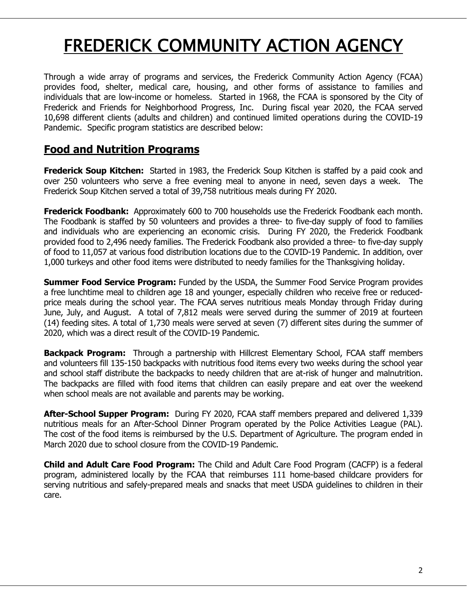## FREDERICK COMMUNITY ACTION AGENCY

Through a wide array of programs and services, the Frederick Community Action Agency (FCAA) provides food, shelter, medical care, housing, and other forms of assistance to families and individuals that are low-income or homeless. Started in 1968, the FCAA is sponsored by the City of Frederick and Friends for Neighborhood Progress, Inc. During fiscal year 2020, the FCAA served 10,698 different clients (adults and children) and continued limited operations during the COVID-19 Pandemic. Specific program statistics are described below:

### **Food and Nutrition Programs**

**Frederick Soup Kitchen:** Started in 1983, the Frederick Soup Kitchen is staffed by a paid cook and over 250 volunteers who serve a free evening meal to anyone in need, seven days a week. The Frederick Soup Kitchen served a total of 39,758 nutritious meals during FY 2020.

**Frederick Foodbank:** Approximately 600 to 700 households use the Frederick Foodbank each month. The Foodbank is staffed by 50 volunteers and provides a three- to five-day supply of food to families and individuals who are experiencing an economic crisis. During FY 2020, the Frederick Foodbank provided food to 2,496 needy families. The Frederick Foodbank also provided a three- to five-day supply of food to 11,057 at various food distribution locations due to the COVID-19 Pandemic. In addition, over 1,000 turkeys and other food items were distributed to needy families for the Thanksgiving holiday.

**Summer Food Service Program:** Funded by the USDA, the Summer Food Service Program provides a free lunchtime meal to children age 18 and younger, especially children who receive free or reducedprice meals during the school year. The FCAA serves nutritious meals Monday through Friday during June, July, and August. A total of 7,812 meals were served during the summer of 2019 at fourteen (14) feeding sites. A total of 1,730 meals were served at seven (7) different sites during the summer of 2020, which was a direct result of the COVID-19 Pandemic.

**Backpack Program:** Through a partnership with Hillcrest Elementary School, FCAA staff members and volunteers fill 135-150 backpacks with nutritious food items every two weeks during the school year and school staff distribute the backpacks to needy children that are at-risk of hunger and malnutrition. The backpacks are filled with food items that children can easily prepare and eat over the weekend when school meals are not available and parents may be working.

**After-School Supper Program:** During FY 2020, FCAA staff members prepared and delivered 1,339 nutritious meals for an After-School Dinner Program operated by the Police Activities League (PAL). The cost of the food items is reimbursed by the U.S. Department of Agriculture. The program ended in March 2020 due to school closure from the COVID-19 Pandemic.

**Child and Adult Care Food Program:** The Child and Adult Care Food Program (CACFP) is a federal program, administered locally by the FCAA that reimburses 111 home-based childcare providers for serving nutritious and safely-prepared meals and snacks that meet USDA guidelines to children in their care.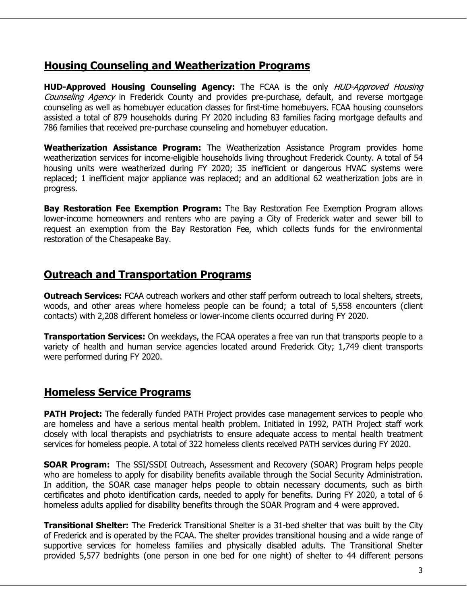#### **Housing Counseling and Weatherization Programs**

**HUD-Approved Housing Counseling Agency:** The FCAA is the only HUD-Approved Housing Counseling Agency in Frederick County and provides pre-purchase, default, and reverse mortgage counseling as well as homebuyer education classes for first-time homebuyers. FCAA housing counselors assisted a total of 879 households during FY 2020 including 83 families facing mortgage defaults and 786 families that received pre-purchase counseling and homebuyer education.

**Weatherization Assistance Program:** The Weatherization Assistance Program provides home weatherization services for income-eligible households living throughout Frederick County. A total of 54 housing units were weatherized during FY 2020; 35 inefficient or dangerous HVAC systems were replaced; 1 inefficient major appliance was replaced; and an additional 62 weatherization jobs are in progress.

**Bay Restoration Fee Exemption Program:** The Bay Restoration Fee Exemption Program allows lower-income homeowners and renters who are paying a City of Frederick water and sewer bill to request an exemption from the Bay Restoration Fee, which collects funds for the environmental restoration of the Chesapeake Bay.

#### **Outreach and Transportation Programs**

**Outreach Services:** FCAA outreach workers and other staff perform outreach to local shelters, streets, woods, and other areas where homeless people can be found; a total of 5,558 encounters (client contacts) with 2,208 different homeless or lower-income clients occurred during FY 2020.

**Transportation Services:** On weekdays, the FCAA operates a free van run that transports people to a variety of health and human service agencies located around Frederick City; 1,749 client transports were performed during FY 2020.

#### **Homeless Service Programs**

**PATH Project:** The federally funded PATH Project provides case management services to people who are homeless and have a serious mental health problem. Initiated in 1992, PATH Project staff work closely with local therapists and psychiatrists to ensure adequate access to mental health treatment services for homeless people. A total of 322 homeless clients received PATH services during FY 2020.

**SOAR Program:** The SSI/SSDI Outreach, Assessment and Recovery (SOAR) Program helps people who are homeless to apply for disability benefits available through the Social Security Administration. In addition, the SOAR case manager helps people to obtain necessary documents, such as birth certificates and photo identification cards, needed to apply for benefits. During FY 2020, a total of 6 homeless adults applied for disability benefits through the SOAR Program and 4 were approved.

**Transitional Shelter:** The Frederick Transitional Shelter is a 31-bed shelter that was built by the City of Frederick and is operated by the FCAA. The shelter provides transitional housing and a wide range of supportive services for homeless families and physically disabled adults. The Transitional Shelter provided 5,577 bednights (one person in one bed for one night) of shelter to 44 different persons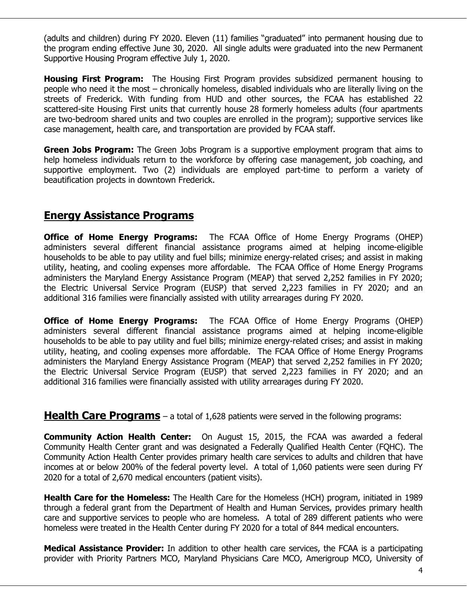(adults and children) during FY 2020. Eleven (11) families "graduated" into permanent housing due to the program ending effective June 30, 2020. All single adults were graduated into the new Permanent Supportive Housing Program effective July 1, 2020.

**Housing First Program:** The Housing First Program provides subsidized permanent housing to people who need it the most – chronically homeless, disabled individuals who are literally living on the streets of Frederick. With funding from HUD and other sources, the FCAA has established 22 scattered-site Housing First units that currently house 28 formerly homeless adults (four apartments are two-bedroom shared units and two couples are enrolled in the program); supportive services like case management, health care, and transportation are provided by FCAA staff.

**Green Jobs Program:** The Green Jobs Program is a supportive employment program that aims to help homeless individuals return to the workforce by offering case management, job coaching, and supportive employment. Two (2) individuals are employed part-time to perform a variety of beautification projects in downtown Frederick.

#### **Energy Assistance Programs**

**Office of Home Energy Programs:** The FCAA Office of Home Energy Programs (OHEP) administers several different financial assistance programs aimed at helping income-eligible households to be able to pay utility and fuel bills; minimize energy-related crises; and assist in making utility, heating, and cooling expenses more affordable. The FCAA Office of Home Energy Programs administers the Maryland Energy Assistance Program (MEAP) that served 2,252 families in FY 2020; the Electric Universal Service Program (EUSP) that served 2,223 families in FY 2020; and an additional 316 families were financially assisted with utility arrearages during FY 2020.

**Office of Home Energy Programs:** The FCAA Office of Home Energy Programs (OHEP) administers several different financial assistance programs aimed at helping income-eligible households to be able to pay utility and fuel bills; minimize energy-related crises; and assist in making utility, heating, and cooling expenses more affordable. The FCAA Office of Home Energy Programs administers the Maryland Energy Assistance Program (MEAP) that served 2,252 families in FY 2020; the Electric Universal Service Program (EUSP) that served 2,223 families in FY 2020; and an additional 316 families were financially assisted with utility arrearages during FY 2020.

**Health Care Programs** – a total of 1,628 patients were served in the following programs:

**Community Action Health Center:** On August 15, 2015, the FCAA was awarded a federal Community Health Center grant and was designated a Federally Qualified Health Center (FQHC). The Community Action Health Center provides primary health care services to adults and children that have incomes at or below 200% of the federal poverty level. A total of 1,060 patients were seen during FY 2020 for a total of 2,670 medical encounters (patient visits).

**Health Care for the Homeless:** The Health Care for the Homeless (HCH) program, initiated in 1989 through a federal grant from the Department of Health and Human Services, provides primary health care and supportive services to people who are homeless. A total of 289 different patients who were homeless were treated in the Health Center during FY 2020 for a total of 844 medical encounters.

**Medical Assistance Provider:** In addition to other health care services, the FCAA is a participating provider with Priority Partners MCO, Maryland Physicians Care MCO, Amerigroup MCO, University of